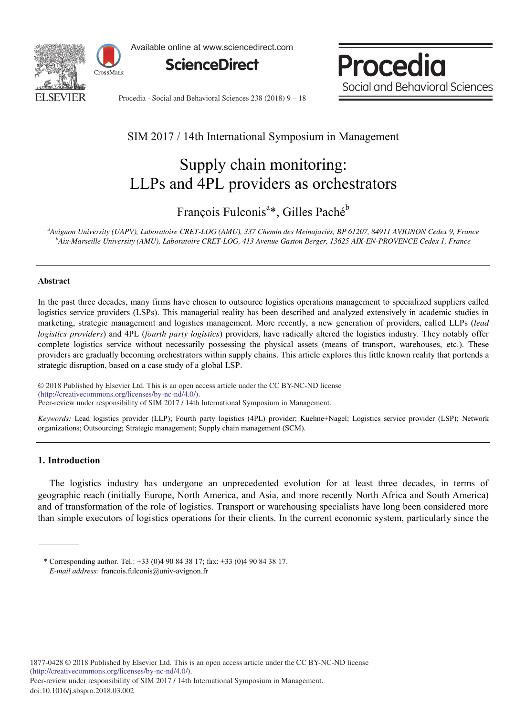

Available online at www.sciencedirect.com



**Procedia** Social and Behavioral Sciences

Procedia - Social and Behavioral Sciences 238 (2018) 9 – 18

### SIM 2017 / 14th International Symposium in Management

# Supply chain monitoring: LLPs and 4PL providers as orchestrators

## François Fulconis<sup>a\*</sup>, Gilles Paché<sup>b</sup>

*a Avignon University (UAPV), Laboratoire CRET-LOG (AMU), 337 Chemin des Meinajariès, BP 61207, 84911 AVIGNON Cedex 9, France b Aix-Marseille University (AMU), Laboratoire CRET-LOG, 413 Avenue Gaston Berger, 13625 AIX-EN-PROVENCE Cedex 1, France*

#### **Abstract**

In the past three decades, many firms have chosen to outsource logistics operations management to specialized suppliers called logistics service providers (LSPs). This managerial reality has been described and analyzed extensively in academic studies in marketing, strategic management and logistics management. More recently, a new generation of providers, called LLPs (*lead logistics providers*) and 4PL (*fourth party logistics*) providers, have radically altered the logistics industry. They notably offer complete logistics service without necessarily possessing the physical assets (means of transport, warehouses, etc.). These providers are gradually becoming orchestrators within supply chains. This article explores this little known reality that portends a strategic disruption, based on a case study of a global LSP.

© 2018 Published by Elsevier Ltd. This is an open access article under the CC BY-NC-ND license Peer-review under responsibility of SIM 2017 / 14th International Symposium in Management. Peer-review under responsibility of SIM 2017 / 14th International Symposium in Management. (http://creativecommons.org/licenses/by-nc-nd/4.0/).

*Keywords:* Lead logistics provider (LLP); Fourth party logistics (4PL) provider; Kuehne+Nagel; Logistics service provider (LSP); Network organizations; Outsourcing; Strategic management; Supply chain management (SCM).

#### **1. Introduction**

The logistics industry has undergone an unprecedented evolution for at least three decades, in terms of geographic reach (initially Europe, North America, and Asia, and more recently North Africa and South America) and of transformation of the role of logistics. Transport or warehousing specialists have long been considered more than simple executors of logistics operations for their clients. In the current economic system, particularly since the

<sup>\*</sup> Corresponding author. Tel.: +33 (0)4 90 84 38 17; fax: +33 (0)4 90 84 38 17. *E-mail address:* francois.fulconis@univ-avignon.fr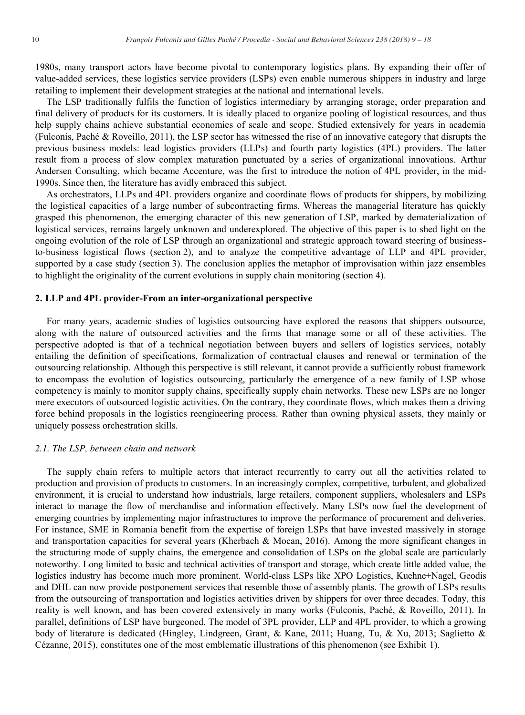1980s, many transport actors have become pivotal to contemporary logistics plans. By expanding their offer of value-added services, these logistics service providers (LSPs) even enable numerous shippers in industry and large retailing to implement their development strategies at the national and international levels.

The LSP traditionally fulfils the function of logistics intermediary by arranging storage, order preparation and final delivery of products for its customers. It is ideally placed to organize pooling of logistical resources, and thus help supply chains achieve substantial economies of scale and scope. Studied extensively for years in academia (Fulconis, Paché & Roveillo, 2011), the LSP sector has witnessed the rise of an innovative category that disrupts the previous business models: lead logistics providers (LLPs) and fourth party logistics (4PL) providers. The latter result from a process of slow complex maturation punctuated by a series of organizational innovations. Arthur Andersen Consulting, which became Accenture, was the first to introduce the notion of 4PL provider, in the mid-1990s. Since then, the literature has avidly embraced this subject.

As orchestrators, LLPs and 4PL providers organize and coordinate flows of products for shippers, by mobilizing the logistical capacities of a large number of subcontracting firms. Whereas the managerial literature has quickly grasped this phenomenon, the emerging character of this new generation of LSP, marked by dematerialization of logistical services, remains largely unknown and underexplored. The objective of this paper is to shed light on the ongoing evolution of the role of LSP through an organizational and strategic approach toward steering of businessto-business logistical flows (section 2), and to analyze the competitive advantage of LLP and 4PL provider, supported by a case study (section 3). The conclusion applies the metaphor of improvisation within jazz ensembles to highlight the originality of the current evolutions in supply chain monitoring (section 4).

#### **2. LLP and 4PL provider-From an inter-organizational perspective**

For many years, academic studies of logistics outsourcing have explored the reasons that shippers outsource, along with the nature of outsourced activities and the firms that manage some or all of these activities. The perspective adopted is that of a technical negotiation between buyers and sellers of logistics services, notably entailing the definition of specifications, formalization of contractual clauses and renewal or termination of the outsourcing relationship. Although this perspective is still relevant, it cannot provide a sufficiently robust framework to encompass the evolution of logistics outsourcing, particularly the emergence of a new family of LSP whose competency is mainly to monitor supply chains, specifically supply chain networks. These new LSPs are no longer mere executors of outsourced logistic activities. On the contrary, they coordinate flows, which makes them a driving force behind proposals in the logistics reengineering process. Rather than owning physical assets, they mainly or uniquely possess orchestration skills.

#### *2.1. The LSP, between chain and network*

The supply chain refers to multiple actors that interact recurrently to carry out all the activities related to production and provision of products to customers. In an increasingly complex, competitive, turbulent, and globalized environment, it is crucial to understand how industrials, large retailers, component suppliers, wholesalers and LSPs interact to manage the flow of merchandise and information effectively. Many LSPs now fuel the development of emerging countries by implementing major infrastructures to improve the performance of procurement and deliveries. For instance, SME in Romania benefit from the expertise of foreign LSPs that have invested massively in storage and transportation capacities for several years (Kherbach & Mocan, 2016). Among the more significant changes in the structuring mode of supply chains, the emergence and consolidation of LSPs on the global scale are particularly noteworthy. Long limited to basic and technical activities of transport and storage, which create little added value, the logistics industry has become much more prominent. World-class LSPs like XPO Logistics, Kuehne+Nagel, Geodis and DHL can now provide postponement services that resemble those of assembly plants. The growth of LSPs results from the outsourcing of transportation and logistics activities driven by shippers for over three decades. Today, this reality is well known, and has been covered extensively in many works (Fulconis, Paché, & Roveillo, 2011). In parallel, definitions of LSP have burgeoned. The model of 3PL provider, LLP and 4PL provider, to which a growing body of literature is dedicated (Hingley, Lindgreen, Grant, & Kane, 2011; Huang, Tu, & Xu, 2013; Saglietto & Cézanne, 2015), constitutes one of the most emblematic illustrations of this phenomenon (see Exhibit 1).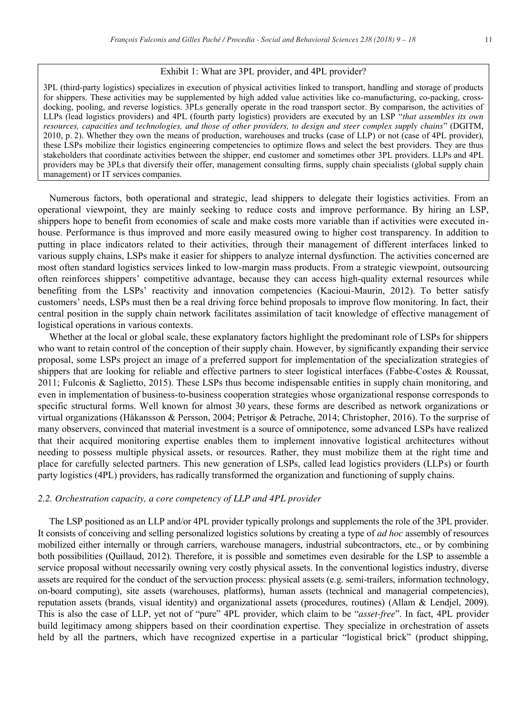#### Exhibit 1: What are 3PL provider, and 4PL provider?

3PL (third-party logistics) specializes in execution of physical activities linked to transport, handling and storage of products for shippers. These activities may be supplemented by high added value activities like co-manufacturing, co-packing, crossdocking, pooling, and reverse logistics. 3PLs generally operate in the road transport sector. By comparison, the activities of LLPs (lead logistics providers) and 4PL (fourth party logistics) providers are executed by an LSP "*that assembles its own resources, capacities and technologies, and those of other providers, to design and steer complex supply chains*" (DGITM, 2010, p. 2). Whether they own the means of production, warehouses and trucks (case of LLP) or not (case of 4PL provider), these LSPs mobilize their logistics engineering competencies to optimize flows and select the best providers. They are thus stakeholders that coordinate activities between the shipper, end customer and sometimes other 3PL providers. LLPs and 4PL providers may be 3PLs that diversify their offer, management consulting firms, supply chain specialists (global supply chain management) or IT services companies.

Numerous factors, both operational and strategic, lead shippers to delegate their logistics activities. From an operational viewpoint, they are mainly seeking to reduce costs and improve performance. By hiring an LSP, shippers hope to benefit from economies of scale and make costs more variable than if activities were executed inhouse. Performance is thus improved and more easily measured owing to higher cost transparency. In addition to putting in place indicators related to their activities, through their management of different interfaces linked to various supply chains, LSPs make it easier for shippers to analyze internal dysfunction. The activities concerned are most often standard logistics services linked to low-margin mass products. From a strategic viewpoint, outsourcing often reinforces shippers' competitive advantage, because they can access high-quality external resources while benefiting from the LSPs' reactivity and innovation competencies (Kacioui-Maurin, 2012). To better satisfy customers' needs, LSPs must then be a real driving force behind proposals to improve flow monitoring. In fact, their central position in the supply chain network facilitates assimilation of tacit knowledge of effective management of logistical operations in various contexts.

Whether at the local or global scale, these explanatory factors highlight the predominant role of LSPs for shippers who want to retain control of the conception of their supply chain. However, by significantly expanding their service proposal, some LSPs project an image of a preferred support for implementation of the specialization strategies of shippers that are looking for reliable and effective partners to steer logistical interfaces (Fabbe-Costes & Roussat, 2011; Fulconis & Saglietto, 2015). These LSPs thus become indispensable entities in supply chain monitoring, and even in implementation of business-to-business cooperation strategies whose organizational response corresponds to specific structural forms. Well known for almost 30 years, these forms are described as network organizations or virtual organizations (Håkansson & Persson, 2004; Petrișor & Petrache, 2014; Christopher, 2016). To the surprise of many observers, convinced that material investment is a source of omnipotence, some advanced LSPs have realized that their acquired monitoring expertise enables them to implement innovative logistical architectures without needing to possess multiple physical assets, or resources. Rather, they must mobilize them at the right time and place for carefully selected partners. This new generation of LSPs, called lead logistics providers (LLPs) or fourth party logistics (4PL) providers, has radically transformed the organization and functioning of supply chains.

#### *2.2. Orchestration capacity, a core competency of LLP and 4PL provider*

The LSP positioned as an LLP and/or 4PL provider typically prolongs and supplements the role of the 3PL provider. It consists of conceiving and selling personalized logistics solutions by creating a type of *ad hoc* assembly of resources mobilized either internally or through carriers, warehouse managers, industrial subcontractors, etc., or by combining both possibilities (Quillaud, 2012). Therefore, it is possible and sometimes even desirable for the LSP to assemble a service proposal without necessarily owning very costly physical assets. In the conventional logistics industry, diverse assets are required for the conduct of the servuction process: physical assets (e.g. semi-trailers, information technology, on-board computing), site assets (warehouses, platforms), human assets (technical and managerial competencies), reputation assets (brands, visual identity) and organizational assets (procedures, routines) (Allam & Lendjel, 2009). This is also the case of LLP, yet not of "pure" 4PL provider, which claim to be "*asset-free*". In fact, 4PL provider build legitimacy among shippers based on their coordination expertise. They specialize in orchestration of assets held by all the partners, which have recognized expertise in a particular "logistical brick" (product shipping,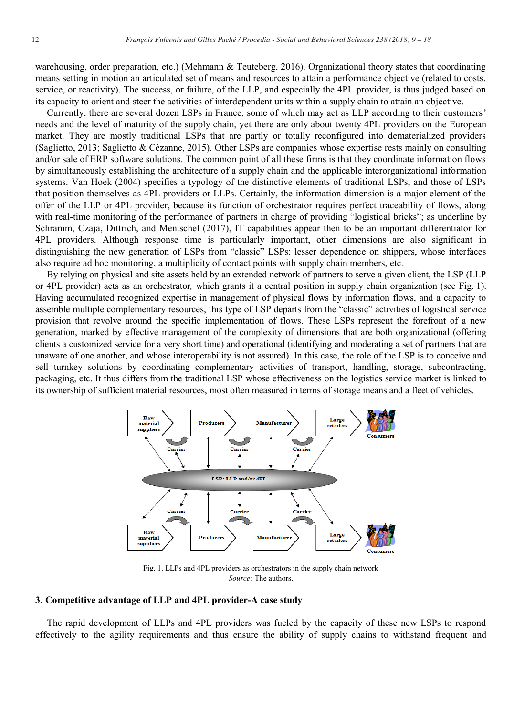warehousing, order preparation, etc.) (Mehmann & Teuteberg, 2016). Organizational theory states that coordinating means setting in motion an articulated set of means and resources to attain a performance objective (related to costs, service, or reactivity). The success, or failure, of the LLP, and especially the 4PL provider, is thus judged based on its capacity to orient and steer the activities of interdependent units within a supply chain to attain an objective.

Currently, there are several dozen LSPs in France, some of which may act as LLP according to their customers' needs and the level of maturity of the supply chain, yet there are only about twenty 4PL providers on the European market. They are mostly traditional LSPs that are partly or totally reconfigured into dematerialized providers (Saglietto, 2013; Saglietto & Cézanne, 2015). Other LSPs are companies whose expertise rests mainly on consulting and/or sale of ERP software solutions. The common point of all these firms is that they coordinate information flows by simultaneously establishing the architecture of a supply chain and the applicable interorganizational information systems. Van Hoek (2004) specifies a typology of the distinctive elements of traditional LSPs, and those of LSPs that position themselves as 4PL providers or LLPs. Certainly, the information dimension is a major element of the offer of the LLP or 4PL provider, because its function of orchestrator requires perfect traceability of flows, along with real-time monitoring of the performance of partners in charge of providing "logistical bricks"; as underline by Schramm, Czaja, Dittrich, and Mentschel (2017), IT capabilities appear then to be an important differentiator for 4PL providers. Although response time is particularly important, other dimensions are also significant in distinguishing the new generation of LSPs from "classic" LSPs: lesser dependence on shippers, whose interfaces also require ad hoc monitoring, a multiplicity of contact points with supply chain members, etc.

By relying on physical and site assets held by an extended network of partners to serve a given client, the LSP (LLP or 4PL provider) acts as an orchestrator*,* which grants it a central position in supply chain organization (see Fig. 1). Having accumulated recognized expertise in management of physical flows by information flows, and a capacity to assemble multiple complementary resources, this type of LSP departs from the "classic" activities of logistical service provision that revolve around the specific implementation of flows. These LSPs represent the forefront of a new generation, marked by effective management of the complexity of dimensions that are both organizational (offering clients a customized service for a very short time) and operational (identifying and moderating a set of partners that are unaware of one another, and whose interoperability is not assured). In this case, the role of the LSP is to conceive and sell turnkey solutions by coordinating complementary activities of transport, handling, storage, subcontracting, packaging, etc. It thus differs from the traditional LSP whose effectiveness on the logistics service market is linked to its ownership of sufficient material resources, most often measured in terms of storage means and a fleet of vehicles.



Fig. 1. LLPs and 4PL providers as orchestrators in the supply chain network *Source:* The authors.

#### **3. Competitive advantage of LLP and 4PL provider-A case study**

The rapid development of LLPs and 4PL providers was fueled by the capacity of these new LSPs to respond effectively to the agility requirements and thus ensure the ability of supply chains to withstand frequent and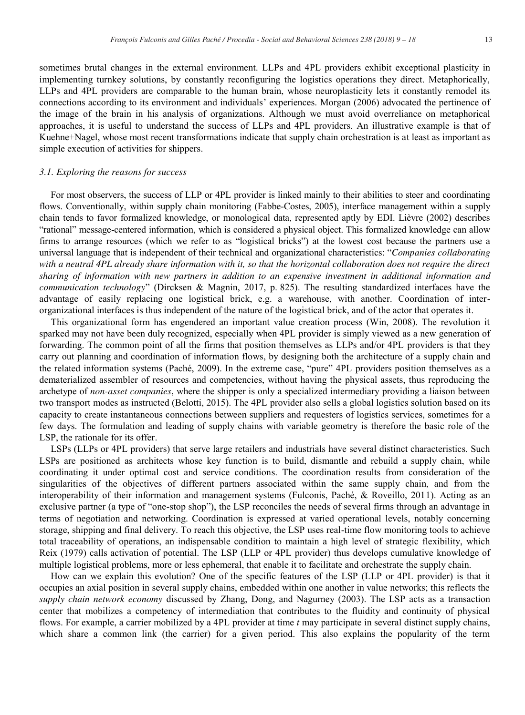sometimes brutal changes in the external environment. LLPs and 4PL providers exhibit exceptional plasticity in implementing turnkey solutions, by constantly reconfiguring the logistics operations they direct. Metaphorically, LLPs and 4PL providers are comparable to the human brain, whose neuroplasticity lets it constantly remodel its connections according to its environment and individuals' experiences. Morgan (2006) advocated the pertinence of the image of the brain in his analysis of organizations. Although we must avoid overreliance on metaphorical approaches, it is useful to understand the success of LLPs and 4PL providers. An illustrative example is that of Kuehne+Nagel, whose most recent transformations indicate that supply chain orchestration is at least as important as simple execution of activities for shippers.

#### *3.1. Exploring the reasons for success*

For most observers, the success of LLP or 4PL provider is linked mainly to their abilities to steer and coordinating flows. Conventionally, within supply chain monitoring (Fabbe-Costes, 2005), interface management within a supply chain tends to favor formalized knowledge, or monological data, represented aptly by EDI. Lièvre (2002) describes "rational" message-centered information, which is considered a physical object. This formalized knowledge can allow firms to arrange resources (which we refer to as "logistical bricks") at the lowest cost because the partners use a universal language that is independent of their technical and organizational characteristics: "*Companies collaborating with a neutral 4PL already share information with it, so that the horizontal collaboration does not require the direct sharing of information with new partners in addition to an expensive investment in additional information and communication technology*" (Dircksen & Magnin, 2017, p. 825). The resulting standardized interfaces have the advantage of easily replacing one logistical brick, e.g. a warehouse, with another. Coordination of interorganizational interfaces is thus independent of the nature of the logistical brick, and of the actor that operates it.

This organizational form has engendered an important value creation process (Win, 2008). The revolution it sparked may not have been duly recognized, especially when 4PL provider is simply viewed as a new generation of forwarding. The common point of all the firms that position themselves as LLPs and/or 4PL providers is that they carry out planning and coordination of information flows, by designing both the architecture of a supply chain and the related information systems (Paché, 2009). In the extreme case, "pure" 4PL providers position themselves as a dematerialized assembler of resources and competencies, without having the physical assets, thus reproducing the archetype of *non-asset companies*, where the shipper is only a specialized intermediary providing a liaison between two transport modes as instructed (Belotti, 2015). The 4PL provider also sells a global logistics solution based on its capacity to create instantaneous connections between suppliers and requesters of logistics services, sometimes for a few days. The formulation and leading of supply chains with variable geometry is therefore the basic role of the LSP, the rationale for its offer.

LSPs (LLPs or 4PL providers) that serve large retailers and industrials have several distinct characteristics. Such LSPs are positioned as architects whose key function is to build, dismantle and rebuild a supply chain, while coordinating it under optimal cost and service conditions. The coordination results from consideration of the singularities of the objectives of different partners associated within the same supply chain, and from the interoperability of their information and management systems (Fulconis, Paché, & Roveillo, 2011). Acting as an exclusive partner (a type of "one-stop shop"), the LSP reconciles the needs of several firms through an advantage in terms of negotiation and networking. Coordination is expressed at varied operational levels, notably concerning storage, shipping and final delivery. To reach this objective, the LSP uses real-time flow monitoring tools to achieve total traceability of operations, an indispensable condition to maintain a high level of strategic flexibility, which Reix (1979) calls activation of potential. The LSP (LLP or 4PL provider) thus develops cumulative knowledge of multiple logistical problems, more or less ephemeral, that enable it to facilitate and orchestrate the supply chain.

How can we explain this evolution? One of the specific features of the LSP (LLP or 4PL provider) is that it occupies an axial position in several supply chains, embedded within one another in value networks; this reflects the *supply chain network economy* discussed by Zhang, Dong, and Nagurney (2003). The LSP acts as a transaction center that mobilizes a competency of intermediation that contributes to the fluidity and continuity of physical flows. For example, a carrier mobilized by a 4PL provider at time *t* may participate in several distinct supply chains, which share a common link (the carrier) for a given period. This also explains the popularity of the term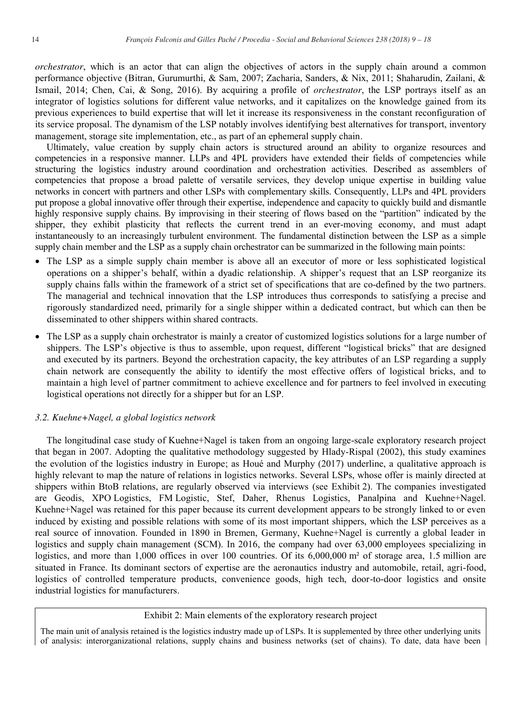*orchestrator*, which is an actor that can align the objectives of actors in the supply chain around a common performance objective (Bitran, Gurumurthi, & Sam, 2007; Zacharia, Sanders, & Nix, 2011; Shaharudin, Zailani, & Ismail, 2014; Chen, Cai, & Song, 2016). By acquiring a profile of *orchestrator*, the LSP portrays itself as an integrator of logistics solutions for different value networks, and it capitalizes on the knowledge gained from its previous experiences to build expertise that will let it increase its responsiveness in the constant reconfiguration of its service proposal. The dynamism of the LSP notably involves identifying best alternatives for transport, inventory management, storage site implementation, etc., as part of an ephemeral supply chain.

Ultimately, value creation by supply chain actors is structured around an ability to organize resources and competencies in a responsive manner. LLPs and 4PL providers have extended their fields of competencies while structuring the logistics industry around coordination and orchestration activities. Described as assemblers of competencies that propose a broad palette of versatile services, they develop unique expertise in building value networks in concert with partners and other LSPs with complementary skills. Consequently, LLPs and 4PL providers put propose a global innovative offer through their expertise, independence and capacity to quickly build and dismantle highly responsive supply chains. By improvising in their steering of flows based on the "partition" indicated by the shipper, they exhibit plasticity that reflects the current trend in an ever-moving economy, and must adapt instantaneously to an increasingly turbulent environment. The fundamental distinction between the LSP as a simple supply chain member and the LSP as a supply chain orchestrator can be summarized in the following main points:

- The LSP as a simple supply chain member is above all an executor of more or less sophisticated logistical operations on a shipper's behalf, within a dyadic relationship. A shipper's request that an LSP reorganize its supply chains falls within the framework of a strict set of specifications that are co-defined by the two partners. The managerial and technical innovation that the LSP introduces thus corresponds to satisfying a precise and rigorously standardized need, primarily for a single shipper within a dedicated contract, but which can then be disseminated to other shippers within shared contracts.
- x The LSP as a supply chain orchestrator is mainly a creator of customized logistics solutions for a large number of shippers. The LSP's objective is thus to assemble, upon request, different "logistical bricks" that are designed and executed by its partners. Beyond the orchestration capacity, the key attributes of an LSP regarding a supply chain network are consequently the ability to identify the most effective offers of logistical bricks, and to maintain a high level of partner commitment to achieve excellence and for partners to feel involved in executing logistical operations not directly for a shipper but for an LSP.

#### *3.2. Kuehne+Nagel, a global logistics network*

The longitudinal case study of Kuehne+Nagel is taken from an ongoing large-scale exploratory research project that began in 2007. Adopting the qualitative methodology suggested by Hlady-Rispal (2002), this study examines the evolution of the logistics industry in Europe; as Houé and Murphy (2017) underline, a qualitative approach is highly relevant to map the nature of relations in logistics networks. Several LSPs, whose offer is mainly directed at shippers within BtoB relations, are regularly observed via interviews (see Exhibit 2). The companies investigated are Geodis, XPO Logistics, FM Logistic, Stef, Daher, Rhenus Logistics, Panalpina and Kuehne+Nagel. Kuehne+Nagel was retained for this paper because its current development appears to be strongly linked to or even induced by existing and possible relations with some of its most important shippers, which the LSP perceives as a real source of innovation. Founded in 1890 in Bremen, Germany, Kuehne+Nagel is currently a global leader in logistics and supply chain management (SCM). In 2016, the company had over 63,000 employees specializing in logistics, and more than 1,000 offices in over 100 countries. Of its 6,000,000 m<sup>2</sup> of storage area, 1.5 million are situated in France. Its dominant sectors of expertise are the aeronautics industry and automobile, retail, agri-food, logistics of controlled temperature products, convenience goods, high tech, door-to-door logistics and onsite industrial logistics for manufacturers.

#### Exhibit 2: Main elements of the exploratory research project

The main unit of analysis retained is the logistics industry made up of LSPs. It is supplemented by three other underlying units of analysis: interorganizational relations, supply chains and business networks (set of chains). To date, data have been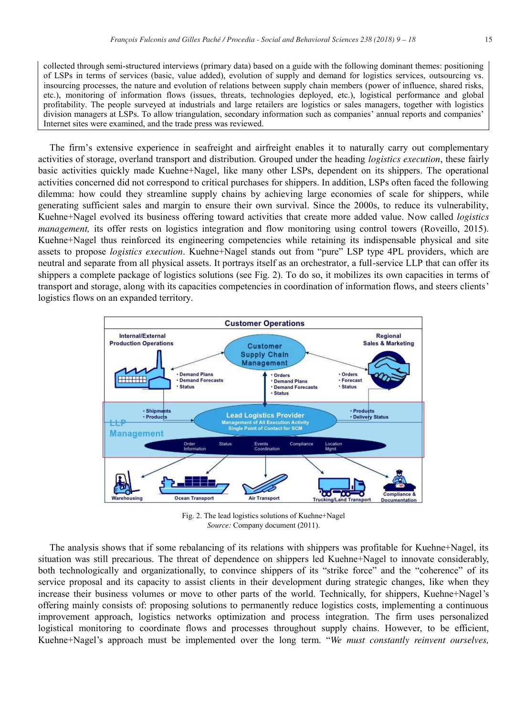collected through semi-structured interviews (primary data) based on a guide with the following dominant themes: positioning of LSPs in terms of services (basic, value added), evolution of supply and demand for logistics services, outsourcing vs. insourcing processes, the nature and evolution of relations between supply chain members (power of influence, shared risks, etc.), monitoring of information flows (issues, threats, technologies deployed, etc.), logistical performance and global profitability. The people surveyed at industrials and large retailers are logistics or sales managers, together with logistics division managers at LSPs. To allow triangulation, secondary information such as companies' annual reports and companies' Internet sites were examined, and the trade press was reviewed.

The firm's extensive experience in seafreight and airfreight enables it to naturally carry out complementary activities of storage, overland transport and distribution. Grouped under the heading *logistics execution*, these fairly basic activities quickly made Kuehne+Nagel, like many other LSPs, dependent on its shippers. The operational activities concerned did not correspond to critical purchases for shippers. In addition, LSPs often faced the following dilemma: how could they streamline supply chains by achieving large economies of scale for shippers, while generating sufficient sales and margin to ensure their own survival. Since the 2000s, to reduce its vulnerability, Kuehne+Nagel evolved its business offering toward activities that create more added value. Now called *logistics management,* its offer rests on logistics integration and flow monitoring using control towers (Roveillo, 2015). Kuehne+Nagel thus reinforced its engineering competencies while retaining its indispensable physical and site assets to propose *logistics execution*. Kuehne+Nagel stands out from "pure" LSP type 4PL providers, which are neutral and separate from all physical assets. It portrays itself as an orchestrator, a full-service LLP that can offer its shippers a complete package of logistics solutions (see Fig. 2). To do so, it mobilizes its own capacities in terms of transport and storage, along with its capacities competencies in coordination of information flows, and steers clients' logistics flows on an expanded territory.



Fig. 2. The lead logistics solutions of Kuehne+Nagel *Source:* Company document (2011).

The analysis shows that if some rebalancing of its relations with shippers was profitable for Kuehne+Nagel, its situation was still precarious. The threat of dependence on shippers led Kuehne+Nagel to innovate considerably, both technologically and organizationally, to convince shippers of its "strike force" and the "coherence" of its service proposal and its capacity to assist clients in their development during strategic changes, like when they increase their business volumes or move to other parts of the world. Technically, for shippers, Kuehne+Nagel's offering mainly consists of: proposing solutions to permanently reduce logistics costs, implementing a continuous improvement approach, logistics networks optimization and process integration. The firm uses personalized logistical monitoring to coordinate flows and processes throughout supply chains. However, to be efficient, Kuehne+Nagel's approach must be implemented over the long term. "*We must constantly reinvent ourselves,*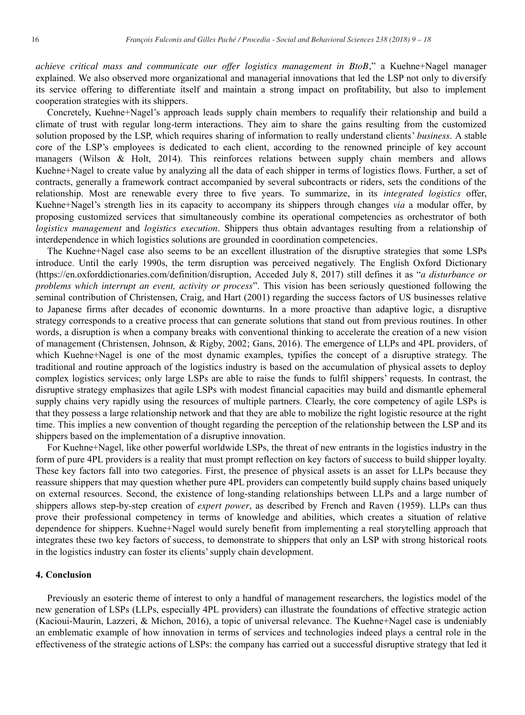*achieve critical mass and communicate our offer logistics management in BtoB*," a Kuehne+Nagel manager explained. We also observed more organizational and managerial innovations that led the LSP not only to diversify its service offering to differentiate itself and maintain a strong impact on profitability, but also to implement cooperation strategies with its shippers.

Concretely, Kuehne+Nagel's approach leads supply chain members to requalify their relationship and build a climate of trust with regular long-term interactions. They aim to share the gains resulting from the customized solution proposed by the LSP, which requires sharing of information to really understand clients' *business*. A stable core of the LSP's employees is dedicated to each client, according to the renowned principle of key account managers (Wilson & Holt, 2014). This reinforces relations between supply chain members and allows Kuehne+Nagel to create value by analyzing all the data of each shipper in terms of logistics flows. Further, a set of contracts, generally a framework contract accompanied by several subcontracts or riders, sets the conditions of the relationship. Most are renewable every three to five years. To summarize, in its *integrated logistics* offer, Kuehne+Nagel's strength lies in its capacity to accompany its shippers through changes *via* a modular offer, by proposing customized services that simultaneously combine its operational competencies as orchestrator of both *logistics management* and *logistics execution*. Shippers thus obtain advantages resulting from a relationship of interdependence in which logistics solutions are grounded in coordination competencies.

The Kuehne+Nagel case also seems to be an excellent illustration of the disruptive strategies that some LSPs introduce. Until the early 1990s, the term disruption was perceived negatively. The English Oxford Dictionary (https://en.oxforddictionaries.com/definition/disruption, Acceded July 8, 2017) still defines it as "*a disturbance or problems which interrupt an event, activity or process*". This vision has been seriously questioned following the seminal contribution of Christensen, Craig, and Hart (2001) regarding the success factors of US businesses relative to Japanese firms after decades of economic downturns. In a more proactive than adaptive logic, a disruptive strategy corresponds to a creative process that can generate solutions that stand out from previous routines. In other words, a disruption is when a company breaks with conventional thinking to accelerate the creation of a new vision of management (Christensen, Johnson, & Rigby, 2002; Gans, 2016). The emergence of LLPs and 4PL providers, of which Kuehne+Nagel is one of the most dynamic examples, typifies the concept of a disruptive strategy. The traditional and routine approach of the logistics industry is based on the accumulation of physical assets to deploy complex logistics services; only large LSPs are able to raise the funds to fulfil shippers' requests. In contrast, the disruptive strategy emphasizes that agile LSPs with modest financial capacities may build and dismantle ephemeral supply chains very rapidly using the resources of multiple partners. Clearly, the core competency of agile LSPs is that they possess a large relationship network and that they are able to mobilize the right logistic resource at the right time. This implies a new convention of thought regarding the perception of the relationship between the LSP and its shippers based on the implementation of a disruptive innovation.

For Kuehne+Nagel, like other powerful worldwide LSPs, the threat of new entrants in the logistics industry in the form of pure 4PL providers is a reality that must prompt reflection on key factors of success to build shipper loyalty. These key factors fall into two categories. First, the presence of physical assets is an asset for LLPs because they reassure shippers that may question whether pure 4PL providers can competently build supply chains based uniquely on external resources. Second, the existence of long-standing relationships between LLPs and a large number of shippers allows step-by-step creation of *expert power*, as described by French and Raven (1959). LLPs can thus prove their professional competency in terms of knowledge and abilities, which creates a situation of relative dependence for shippers. Kuehne+Nagel would surely benefit from implementing a real storytelling approach that integrates these two key factors of success, to demonstrate to shippers that only an LSP with strong historical roots in the logistics industry can foster its clients'supply chain development.

#### **4. Conclusion**

Previously an esoteric theme of interest to only a handful of management researchers, the logistics model of the new generation of LSPs (LLPs, especially 4PL providers) can illustrate the foundations of effective strategic action (Kacioui-Maurin, Lazzeri, & Michon, 2016), a topic of universal relevance. The Kuehne+Nagel case is undeniably an emblematic example of how innovation in terms of services and technologies indeed plays a central role in the effectiveness of the strategic actions of LSPs: the company has carried out a successful disruptive strategy that led it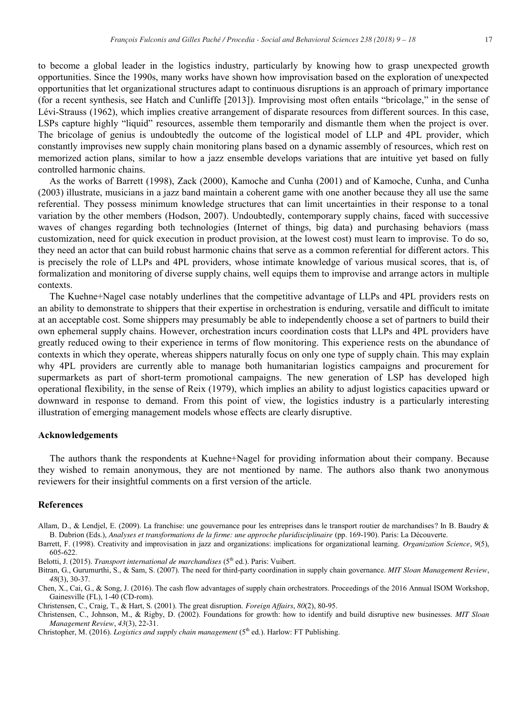to become a global leader in the logistics industry, particularly by knowing how to grasp unexpected growth opportunities. Since the 1990s, many works have shown how improvisation based on the exploration of unexpected opportunities that let organizational structures adapt to continuous disruptions is an approach of primary importance (for a recent synthesis, see Hatch and Cunliffe [2013]). Improvising most often entails "bricolage," in the sense of Lévi-Strauss (1962), which implies creative arrangement of disparate resources from different sources. In this case, LSPs capture highly "liquid" resources, assemble them temporarily and dismantle them when the project is over. The bricolage of genius is undoubtedly the outcome of the logistical model of LLP and 4PL provider, which constantly improvises new supply chain monitoring plans based on a dynamic assembly of resources, which rest on memorized action plans, similar to how a jazz ensemble develops variations that are intuitive yet based on fully controlled harmonic chains.

As the works of Barrett (1998), Zack (2000), Kamoche and Cunha (2001) and of Kamoche, Cunha, and Cunha (2003) illustrate, musicians in a jazz band maintain a coherent game with one another because they all use the same referential. They possess minimum knowledge structures that can limit uncertainties in their response to a tonal variation by the other members (Hodson, 2007). Undoubtedly, contemporary supply chains, faced with successive waves of changes regarding both technologies (Internet of things, big data) and purchasing behaviors (mass customization, need for quick execution in product provision, at the lowest cost) must learn to improvise. To do so, they need an actor that can build robust harmonic chains that serve as a common referential for different actors. This is precisely the role of LLPs and 4PL providers, whose intimate knowledge of various musical scores, that is, of formalization and monitoring of diverse supply chains, well equips them to improvise and arrange actors in multiple contexts.

The Kuehne+Nagel case notably underlines that the competitive advantage of LLPs and 4PL providers rests on an ability to demonstrate to shippers that their expertise in orchestration is enduring, versatile and difficult to imitate at an acceptable cost. Some shippers may presumably be able to independently choose a set of partners to build their own ephemeral supply chains. However, orchestration incurs coordination costs that LLPs and 4PL providers have greatly reduced owing to their experience in terms of flow monitoring. This experience rests on the abundance of contexts in which they operate, whereas shippers naturally focus on only one type of supply chain. This may explain why 4PL providers are currently able to manage both humanitarian logistics campaigns and procurement for supermarkets as part of short-term promotional campaigns. The new generation of LSP has developed high operational flexibility, in the sense of Reix (1979), which implies an ability to adjust logistics capacities upward or downward in response to demand. From this point of view, the logistics industry is a particularly interesting illustration of emerging management models whose effects are clearly disruptive.

#### **Acknowledgements**

The authors thank the respondents at Kuehne+Nagel for providing information about their company. Because they wished to remain anonymous, they are not mentioned by name. The authors also thank two anonymous reviewers for their insightful comments on a first version of the article.

#### **References**

Allam, D., & Lendjel, E. (2009). La franchise: une gouvernance pour les entreprises dans le transport routier de marchandises? In B. Baudry & B. Dubrion (Eds.), *Analyses et transformations de la firme: une approche pluridisciplinaire* (pp. 169-190). Paris: La Découverte.

Barrett, F. (1998). Creativity and improvisation in jazz and organizations: implications for organizational learning. *Organization Science*, *9*(5), 605-622.

Belotti, J. (2015). *Transport international de marchandises* (5<sup>th</sup> ed.). Paris: Vuibert.

Bitran, G., Gurumurthi, S., & Sam, S. (2007). The need for third-party coordination in supply chain governance. *MIT Sloan Management Review*, *48*(3), 30-37.

Chen, X., Cai, G., & Song, J. (2016). The cash flow advantages of supply chain orchestrators. Proceedings of the 2016 Annual ISOM Workshop, Gainesville (FL), 1-40 (CD-rom).

Christensen, C., Craig, T., & Hart, S. (2001). The great disruption. *Foreign Affairs*, *80*(2), 80-95.

Christensen, C., Johnson, M., & Rigby, D. (2002). Foundations for growth: how to identify and build disruptive new businesses. *MIT Sloan Management Review*, *43*(3), 22-31.

Christopher, M. (2016). *Logistics and supply chain management* (5<sup>th</sup> ed.). Harlow: FT Publishing.